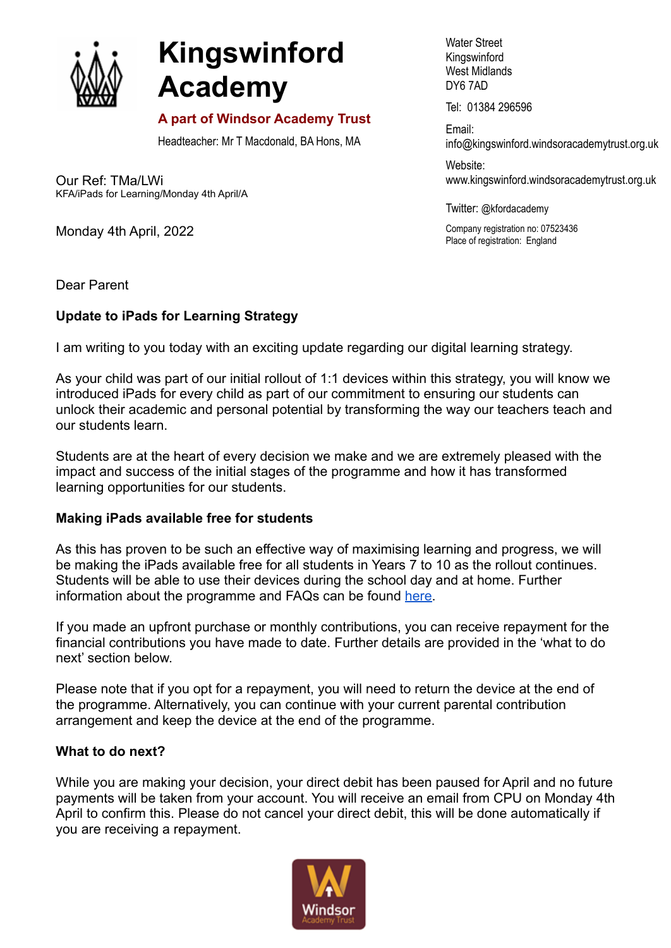

# **Kingswinford Academy**

## **A part of Windsor Academy Trust**

Headteacher: Mr T Macdonald, BA Hons, MA

Our Ref: TMa/LWi KFA/iPads for Learning/Monday 4th April/A

Monday 4th April, 2022

Water Street Kingswinford West Midlands DY6 7AD

Tel: 01384 296596

Email: info@kingswinford[.windsoracademytrust.org.uk](http://www.windsoracademytrust.org.uk)

Website: www.kingswinford.windsoracademytrust.org.uk

Twitter: @kfordacademy

Company registration no: 07523436 Place of registration: England

Dear Parent

## **Update to iPads for Learning Strategy**

I am writing to you today with an exciting update regarding our digital learning strategy.

As your child was part of our initial rollout of 1:1 devices within this strategy, you will know we introduced iPads for every child as part of our commitment to ensuring our students can unlock their academic and personal potential by transforming the way our teachers teach and our students learn.

Students are at the heart of every decision we make and we are extremely pleased with the impact and success of the initial stages of the programme and how it has transformed learning opportunities for our students.

### **Making iPads available free for students**

As this has proven to be such an effective way of maximising learning and progress, we will be making the iPads available free for all students in Years 7 to 10 as the rollout continues. Students will be able to use their devices during the school day and at home. Further information about the programme and FAQs can be found [here.](https://www.kingswinfordacademy.org.uk/1-1-devices-faqs?stage=Stage)

If you made an upfront purchase or monthly contributions, you can receive repayment for the financial contributions you have made to date. Further details are provided in the 'what to do next' section below.

Please note that if you opt for a repayment, you will need to return the device at the end of the programme. Alternatively, you can continue with your current parental contribution arrangement and keep the device at the end of the programme.

### **What to do next?**

While you are making your decision, your direct debit has been paused for April and no future payments will be taken from your account. You will receive an email from CPU on Monday 4th April to confirm this. Please do not cancel your direct debit, this will be done automatically if you are receiving a repayment.